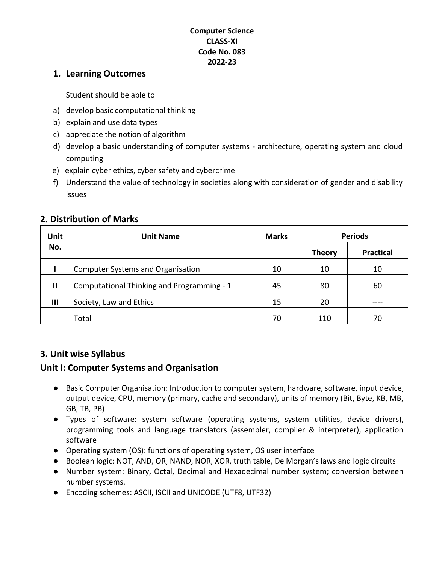#### **Computer Science CLASS-XI Code No. 083 2022-23**

#### **1. Learning Outcomes**

Student should be able to

- a) develop basic computational thinking
- b) explain and use data types
- c) appreciate the notion of algorithm
- d) develop a basic understanding of computer systems architecture, operating system and cloud computing
- e) explain cyber ethics, cyber safety and cybercrime
- f) Understand the value of technology in societies along with consideration of gender and disability issues

# **Unit No.** Unit Name **Name Marks Periods Theory Practical I** Computer Systems and Organisation 10 10 10 10 10 **II** Computational Thinking and Programming - 1 45 45 80 60 **III** Society, Law and Ethics 15 20 ----Total 70 110 70

#### **2. Distribution of Marks**

### **3. Unit wise Syllabus**

### **Unit I: Computer Systems and Organisation**

- Basic Computer Organisation: Introduction to computer system, hardware, software, input device, output device, CPU, memory (primary, cache and secondary), units of memory (Bit, Byte, KB, MB, GB, TB, PB)
- Types of software: system software (operating systems, system utilities, device drivers), programming tools and language translators (assembler, compiler & interpreter), application software
- Operating system (OS): functions of operating system, OS user interface
- Boolean logic: NOT, AND, OR, NAND, NOR, XOR, truth table, De Morgan's laws and logic circuits
- Number system: Binary, Octal, Decimal and Hexadecimal number system; conversion between number systems.
- Encoding schemes: ASCII, ISCII and UNICODE (UTF8, UTF32)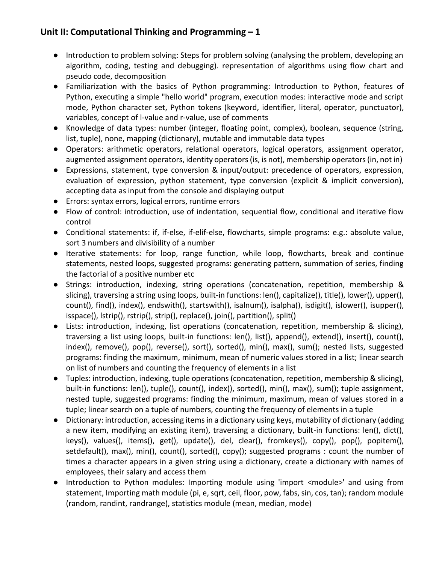# **Unit II: Computational Thinking and Programming – 1**

- Introduction to problem solving: Steps for problem solving (analysing the problem, developing an algorithm, coding, testing and debugging). representation of algorithms using flow chart and pseudo code, decomposition
- Familiarization with the basics of Python programming: Introduction to Python, features of Python, executing a simple "hello world" program, execution modes: interactive mode and script mode, Python character set, Python tokens (keyword, identifier, literal, operator, punctuator), variables, concept of l-value and r-value, use of comments
- Knowledge of data types: number (integer, floating point, complex), boolean, sequence (string, list, tuple), none, mapping (dictionary), mutable and immutable data types
- Operators: arithmetic operators, relational operators, logical operators, assignment operator, augmented assignment operators, identity operators (is, is not), membership operators (in, not in)
- Expressions, statement, type conversion & input/output: precedence of operators, expression, evaluation of expression, python statement, type conversion (explicit & implicit conversion), accepting data as input from the console and displaying output
- Errors: syntax errors, logical errors, runtime errors
- Flow of control: introduction, use of indentation, sequential flow, conditional and iterative flow control
- Conditional statements: if, if-else, if-elif-else, flowcharts, simple programs: e.g.: absolute value, sort 3 numbers and divisibility of a number
- Iterative statements: for loop, range function, while loop, flowcharts, break and continue statements, nested loops, suggested programs: generating pattern, summation of series, finding the factorial of a positive number etc
- Strings: introduction, indexing, string operations (concatenation, repetition, membership & slicing), traversing a string using loops, built-in functions: len(), capitalize(), title(), lower(), upper(), count(), find(), index(), endswith(), startswith(), isalnum(), isalpha(), isdigit(), islower(), isupper(), isspace(), lstrip(), rstrip(), strip(), replace(), join(), partition(), split()
- Lists: introduction, indexing, list operations (concatenation, repetition, membership & slicing), traversing a list using loops, built-in functions: len(), list(), append(), extend(), insert(), count(), index(), remove(), pop(), reverse(), sort(), sorted(), min(), max(), sum(); nested lists, suggested programs: finding the maximum, minimum, mean of numeric values stored in a list; linear search on list of numbers and counting the frequency of elements in a list
- Tuples: introduction, indexing, tuple operations (concatenation, repetition, membership & slicing), built-in functions: len(), tuple(), count(), index(), sorted(), min(), max(), sum(); tuple assignment, nested tuple, suggested programs: finding the minimum, maximum, mean of values stored in a tuple; linear search on a tuple of numbers, counting the frequency of elements in a tuple
- Dictionary: introduction, accessing items in a dictionary using keys, mutability of dictionary (adding a new item, modifying an existing item), traversing a dictionary, built-in functions: len(), dict(), keys(), values(), items(), get(), update(), del, clear(), fromkeys(), copy(), pop(), popitem(), setdefault(), max(), min(), count(), sorted(), copy(); suggested programs : count the number of times a character appears in a given string using a dictionary, create a dictionary with names of employees, their salary and access them
- Introduction to Python modules: Importing module using 'import <module>' and using from statement, Importing math module (pi, e, sqrt, ceil, floor, pow, fabs, sin, cos, tan); random module (random, randint, randrange), statistics module (mean, median, mode)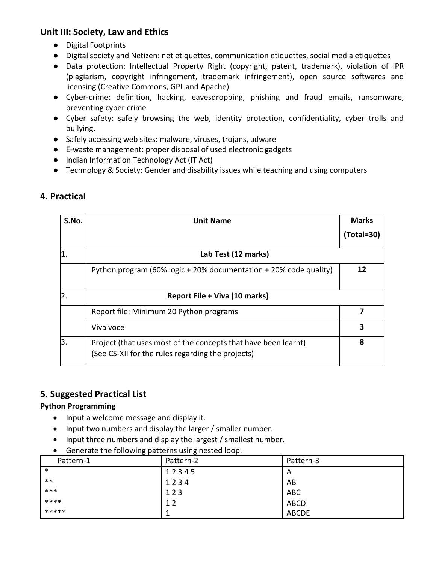### **Unit III: Society, Law and Ethics**

- Digital Footprints
- Digital society and Netizen: net etiquettes, communication etiquettes, social media etiquettes
- Data protection: Intellectual Property Right (copyright, patent, trademark), violation of IPR (plagiarism, copyright infringement, trademark infringement), open source softwares and licensing (Creative Commons, GPL and Apache)
- Cyber-crime: definition, hacking, eavesdropping, phishing and fraud emails, ransomware, preventing cyber crime
- Cyber safety: safely browsing the web, identity protection, confidentiality, cyber trolls and bullying.
- Safely accessing web sites: malware, viruses, trojans, adware
- E-waste management: proper disposal of used electronic gadgets
- Indian Information Technology Act (IT Act)
- Technology & Society: Gender and disability issues while teaching and using computers

| S.No. | <b>Unit Name</b>                                                                                                    | <b>Marks</b><br>$(Total = 30)$ |  |  |
|-------|---------------------------------------------------------------------------------------------------------------------|--------------------------------|--|--|
| 1     | Lab Test (12 marks)                                                                                                 |                                |  |  |
|       | Python program (60% logic + 20% documentation + 20% code quality)                                                   | 12                             |  |  |
| 2.    | Report File + Viva (10 marks)                                                                                       |                                |  |  |
|       | Report file: Minimum 20 Python programs                                                                             | 7                              |  |  |
|       | Viva voce                                                                                                           | 3                              |  |  |
| Β.    | Project (that uses most of the concepts that have been learnt)<br>(See CS-XII for the rules regarding the projects) | 8                              |  |  |

# **4. Practical**

### **5. Suggested Practical List**

#### **Python Programming**

- Input a welcome message and display it.
- Input two numbers and display the larger / smaller number.
- Input three numbers and display the largest / smallest number.
- Generate the following patterns using nested loop.

| ັັ        | ັ         |              |
|-----------|-----------|--------------|
| Pattern-1 | Pattern-2 | Pattern-3    |
| $\ast$    | 12345     | Α            |
| $***$     | 1234      | AB           |
| ***       | 123       | <b>ABC</b>   |
| ****      | 12        | <b>ABCD</b>  |
| *****     |           | <b>ABCDE</b> |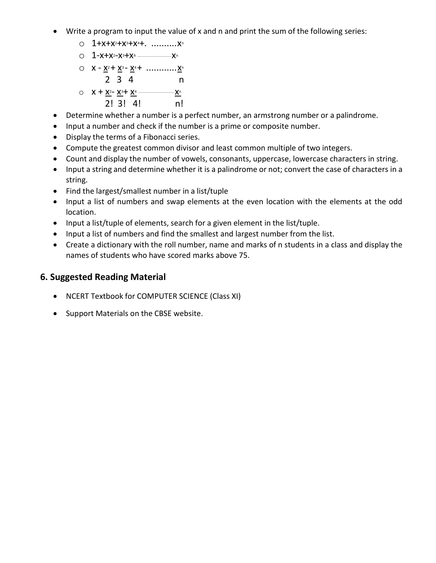- Write a program to input the value of x and n and print the sum of the following series:
	- $O$  1+x+x<sup>2</sup>+x<sup>3</sup>+x<sup>4</sup>+. ............ x<sup>n</sup>
	- o 1-x+x2-x3+x4 .................................x<sup>n</sup>
	- $Q$   $X X^2 + X^3 X^4 + \dots + X^n$ 
		- 2 3 4 n
	- o x + x2- x3+ x4 ...................................x<sup>n</sup>
		- 2! 3! 4! n!
- Determine whether a number is a perfect number, an armstrong number or a palindrome.
- Input a number and check if the number is a prime or composite number.
- Display the terms of a Fibonacci series.
- Compute the greatest common divisor and least common multiple of two integers.
- Count and display the number of vowels, consonants, uppercase, lowercase characters in string.
- Input a string and determine whether it is a palindrome or not; convert the case of characters in a string.
- Find the largest/smallest number in a list/tuple
- Input a list of numbers and swap elements at the even location with the elements at the odd location.
- Input a list/tuple of elements, search for a given element in the list/tuple.
- Input a list of numbers and find the smallest and largest number from the list.
- Create a dictionary with the roll number, name and marks of n students in a class and display the names of students who have scored marks above 75.

### **6. Suggested Reading Material**

- NCERT Textbook for COMPUTER SCIENCE (Class XI)
- Support Materials on the CBSE website.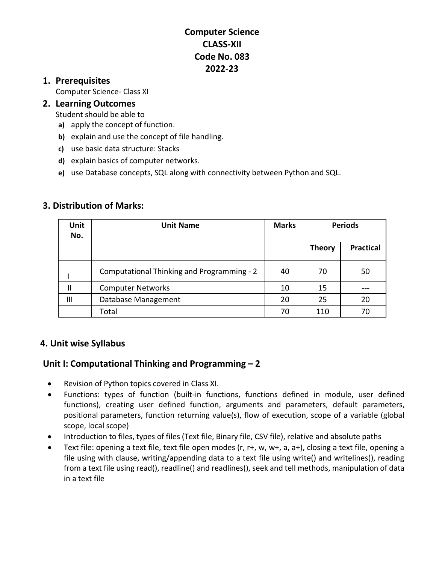# **Computer Science CLASS-XII Code No. 083 2022-23**

### **1. Prerequisites**

Computer Science- Class XI

#### **2. Learning Outcomes**

Student should be able to

- **a)** apply the concept of function.
- **b)** explain and use the concept of file handling.
- **c)** use basic data structure: Stacks
- **d)** explain basics of computer networks.
- **e)** use Database concepts, SQL along with connectivity between Python and SQL.

### **3. Distribution of Marks:**

| <b>Unit</b><br>No. | <b>Unit Name</b>                                  | <b>Marks</b> | <b>Periods</b> |                  |
|--------------------|---------------------------------------------------|--------------|----------------|------------------|
|                    |                                                   |              | <b>Theory</b>  | <b>Practical</b> |
|                    | <b>Computational Thinking and Programming - 2</b> | 40           | 70             | 50               |
| $\mathbf{I}$       | <b>Computer Networks</b>                          | 10           | 15             |                  |
| Ш                  | Database Management                               | 20           | 25             | 20               |
|                    | Total                                             | 70           | 110            | 70               |

### **4. Unit wise Syllabus**

# **Unit I: Computational Thinking and Programming – 2**

- Revision of Python topics covered in Class XI.
- Functions: types of function (built-in functions, functions defined in module, user defined functions), creating user defined function, arguments and parameters, default parameters, positional parameters, function returning value(s), flow of execution, scope of a variable (global scope, local scope)
- Introduction to files, types of files (Text file, Binary file, CSV file), relative and absolute paths
- Text file: opening a text file, text file open modes (r, r+, w, w+, a, a+), closing a text file, opening a file using with clause, writing/appending data to a text file using write() and writelines(), reading from a text file using read(), readline() and readlines(), seek and tell methods, manipulation of data in a text file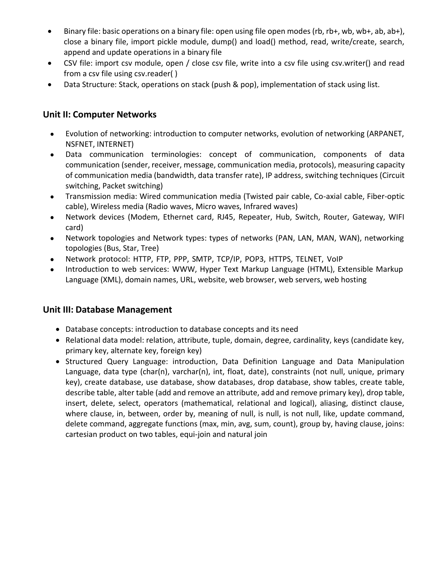- Binary file: basic operations on a binary file: open using file open modes (rb, rb+, wb, wb+, ab, ab+), close a binary file, import pickle module, dump() and load() method, read, write/create, search, append and update operations in a binary file
- CSV file: import csv module, open / close csv file, write into a csv file using csv.writer() and read from a csv file using csv.reader( )
- Data Structure: Stack, operations on stack (push & pop), implementation of stack using list.

### **Unit II: Computer Networks**

- Evolution of networking: introduction to computer networks, evolution of networking (ARPANET, NSFNET, INTERNET)
- Data communication terminologies: concept of communication, components of data communication (sender, receiver, message, communication media, protocols), measuring capacity of communication media (bandwidth, data transfer rate), IP address, switching techniques (Circuit switching, Packet switching)
- Transmission media: Wired communication media (Twisted pair cable, Co-axial cable, Fiber-optic cable), Wireless media (Radio waves, Micro waves, Infrared waves)
- Network devices (Modem, Ethernet card, RJ45, Repeater, Hub, Switch, Router, Gateway, WIFI card)
- Network topologies and Network types: types of networks (PAN, LAN, MAN, WAN), networking topologies (Bus, Star, Tree)
- Network protocol: HTTP, FTP, PPP, SMTP, TCP/IP, POP3, HTTPS, TELNET, VoIP
- Introduction to web services: WWW, Hyper Text Markup Language (HTML), Extensible Markup Language (XML), domain names, URL, website, web browser, web servers, web hosting

### **Unit III: Database Management**

- Database concepts: introduction to database concepts and its need
- Relational data model: relation, attribute, tuple, domain, degree, cardinality, keys (candidate key, primary key, alternate key, foreign key)
- Structured Query Language: introduction, Data Definition Language and Data Manipulation Language, data type (char(n), varchar(n), int, float, date), constraints (not null, unique, primary key), create database, use database, show databases, drop database, show tables, create table, describe table, alter table (add and remove an attribute, add and remove primary key), drop table, insert, delete, select, operators (mathematical, relational and logical), aliasing, distinct clause, where clause, in, between, order by, meaning of null, is null, is not null, like, update command, delete command, aggregate functions (max, min, avg, sum, count), group by, having clause, joins: cartesian product on two tables, equi-join and natural join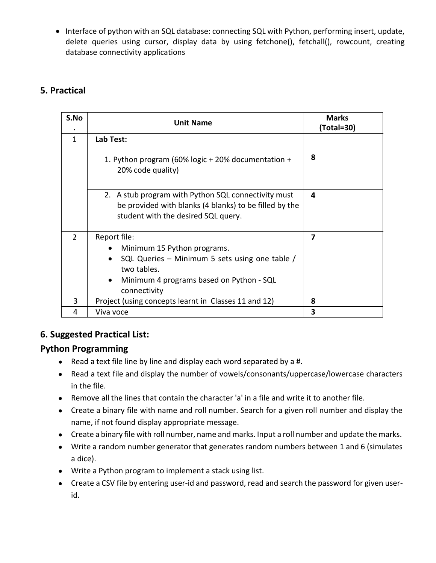• Interface of python with an SQL database: connecting SQL with Python, performing insert, update, delete queries using cursor, display data by using fetchone(), fetchall(), rowcount, creating database connectivity applications

# **5. Practical**

| S.No          | <b>Unit Name</b>                                                                                                                                                                                   | <b>Marks</b><br>(Total=30) |
|---------------|----------------------------------------------------------------------------------------------------------------------------------------------------------------------------------------------------|----------------------------|
| 1             | Lab Test:<br>1. Python program (60% logic + 20% documentation +<br>20% code quality)                                                                                                               | 8                          |
|               | 2. A stub program with Python SQL connectivity must<br>be provided with blanks (4 blanks) to be filled by the<br>student with the desired SQL query.                                               | 4                          |
| $\mathcal{P}$ | Report file:<br>Minimum 15 Python programs.<br>SQL Queries – Minimum 5 sets using one table /<br>$\bullet$<br>two tables.<br>Minimum 4 programs based on Python - SQL<br>$\bullet$<br>connectivity | 7                          |
| 3             | Project (using concepts learnt in Classes 11 and 12)                                                                                                                                               | 8                          |
| 4             | Viva voce                                                                                                                                                                                          | 3                          |

# **6. Suggested Practical List:**

#### **Python Programming**

- Read a text file line by line and display each word separated by a #.
- Read a text file and display the number of vowels/consonants/uppercase/lowercase characters in the file.
- Remove all the lines that contain the character 'a' in a file and write it to another file.
- Create a binary file with name and roll number. Search for a given roll number and display the name, if not found display appropriate message.
- Create a binary file with roll number, name and marks. Input a roll number and update the marks.
- Write a random number generator that generates random numbers between 1 and 6 (simulates a dice).
- Write a Python program to implement a stack using list.
- Create a CSV file by entering user-id and password, read and search the password for given userid.